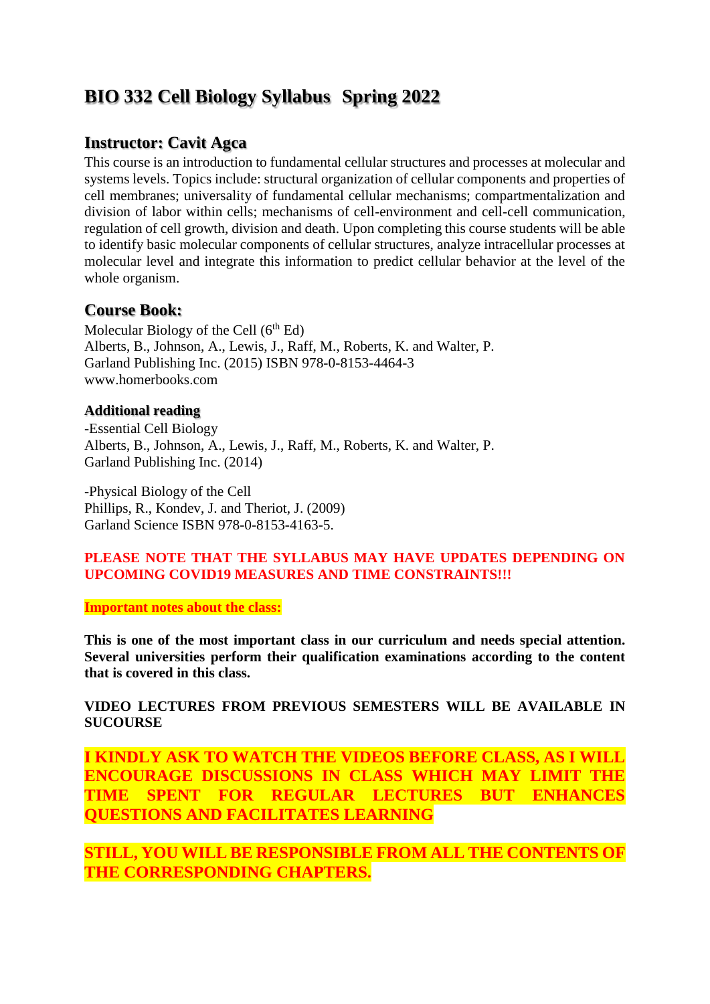# **BIO 332 Cell Biology Syllabus Spring 2022**

### **Instructor: Cavit Agca**

This course is an introduction to fundamental cellular structures and processes at molecular and systems levels. Topics include: structural organization of cellular components and properties of cell membranes; universality of fundamental cellular mechanisms; compartmentalization and division of labor within cells; mechanisms of cell-environment and cell-cell communication, regulation of cell growth, division and death. Upon completing this course students will be able to identify basic molecular components of cellular structures, analyze intracellular processes at molecular level and integrate this information to predict cellular behavior at the level of the whole organism.

### **Course Book:**

Molecular Biology of the Cell  $(6<sup>th</sup> Ed)$ Alberts, B., Johnson, A., Lewis, J., Raff, M., Roberts, K. and Walter, P. Garland Publishing Inc. (2015) ISBN 978-0-8153-4464-3 www.homerbooks.com

#### **Additional reading**

-Essential Cell Biology Alberts, B., Johnson, A., Lewis, J., Raff, M., Roberts, K. and Walter, P. Garland Publishing Inc. (2014)

-Physical Biology of the Cell Phillips, R., Kondev, J. and Theriot, J. (2009) Garland Science ISBN 978-0-8153-4163-5.

#### **PLEASE NOTE THAT THE SYLLABUS MAY HAVE UPDATES DEPENDING ON UPCOMING COVID19 MEASURES AND TIME CONSTRAINTS!!!**

#### **Important notes about the class:**

**This is one of the most important class in our curriculum and needs special attention. Several universities perform their qualification examinations according to the content that is covered in this class.**

#### **VIDEO LECTURES FROM PREVIOUS SEMESTERS WILL BE AVAILABLE IN SUCOURSE**

**I KINDLY ASK TO WATCH THE VIDEOS BEFORE CLASS, AS I WILL ENCOURAGE DISCUSSIONS IN CLASS WHICH MAY LIMIT THE TIME SPENT FOR REGULAR LECTURES BUT ENHANCES QUESTIONS AND FACILITATES LEARNING**

**STILL, YOU WILL BE RESPONSIBLE FROM ALL THE CONTENTS OF THE CORRESPONDING CHAPTERS.**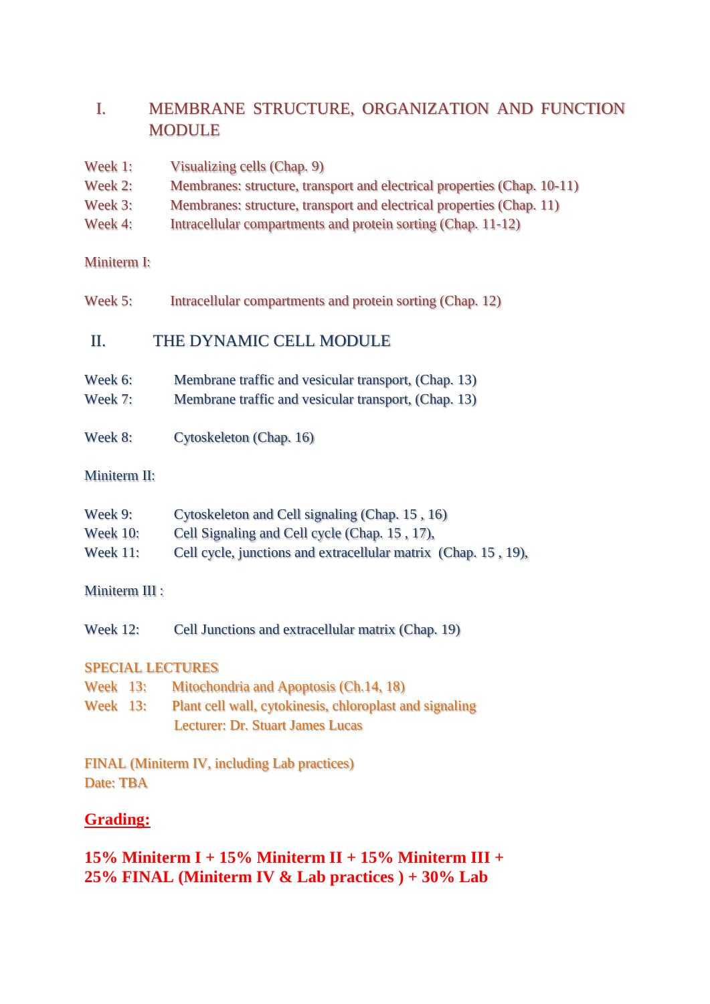# I. MEMBRANE STRUCTURE, ORGANIZATION AND FUNCTION MODULE

| Week 1:              | Visualizing cells (Chap. 9)                                             |
|----------------------|-------------------------------------------------------------------------|
| Week 2:              | Membranes: structure, transport and electrical properties (Chap. 10-11) |
| Week 3:              | Membranes: structure, transport and electrical properties (Chap. 11)    |
| Week 4:              | Intracellular compartments and protein sorting (Chap. 11-12)            |
| <b>Miniterm I:</b>   |                                                                         |
| Week 5:              | Intracellular compartments and protein sorting (Chap. 12)               |
| П.                   | THE DYNAMIC CELL MODULE                                                 |
| Week 6:              | Membrane traffic and vesicular transport, (Chap. 13)                    |
| Week 7:              | Membrane traffic and vesicular transport, (Chap. 13)                    |
| Week 8:              | Cytoskeleton (Chap. 16)                                                 |
| Miniterm II:         |                                                                         |
| Week 9:              | Cytoskeleton and Cell signaling (Chap. 15, 16)                          |
| <b>Week 10:</b>      | Cell Signaling and Cell cycle (Chap. 15, 17),                           |
| <b>Week 11:</b>      | Cell cycle, junctions and extracellular matrix (Chap. 15, 19),          |
| <b>Miniterm III:</b> |                                                                         |
| <b>Week 12:</b>      | Cell Junctions and extracellular matrix (Chap. 19)                      |
|                      | <b>SPECIAL LECTURES</b>                                                 |
| <b>Week 13:</b>      | Mitochondria and Apoptosis (Ch.14, 18)                                  |
| <b>Week 13:</b>      | Plant cell wall, cytokinesis, chloroplast and signaling                 |
|                      | <b>Lecturer: Dr. Stuart James Lucas</b>                                 |
|                      | <b>FINAL (Miniterm IV, including Lab practices)</b>                     |
| Date: TBA            |                                                                         |

# **Grading:**

# **15% Miniterm I + 15% Miniterm II + 15% Miniterm III + 25% FINAL (Miniterm IV & Lab practices ) + 30% Lab**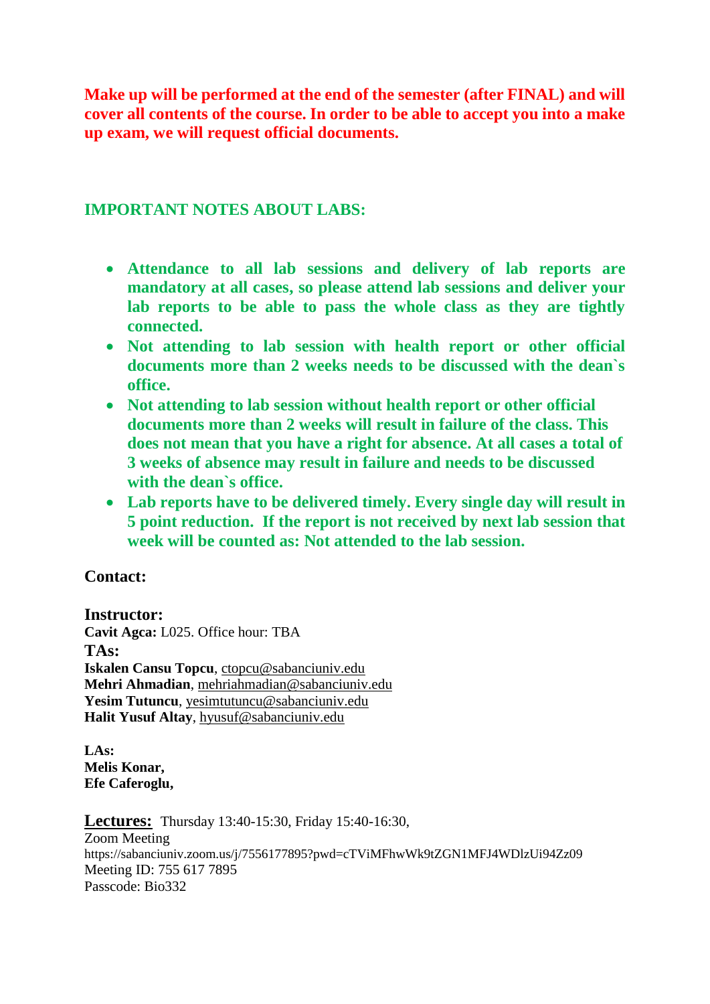**Make up will be performed at the end of the semester (after FINAL) and will cover all contents of the course. In order to be able to accept you into a make up exam, we will request official documents.**

## **IMPORTANT NOTES ABOUT LABS:**

- **Attendance to all lab sessions and delivery of lab reports are mandatory at all cases, so please attend lab sessions and deliver your lab reports to be able to pass the whole class as they are tightly connected.**
- **Not attending to lab session with health report or other official documents more than 2 weeks needs to be discussed with the dean`s office.**
- **Not attending to lab session without health report or other official documents more than 2 weeks will result in failure of the class. This does not mean that you have a right for absence. At all cases a total of 3 weeks of absence may result in failure and needs to be discussed with the dean`s office.**
- **Lab reports have to be delivered timely. Every single day will result in 5 point reduction. If the report is not received by next lab session that week will be counted as: Not attended to the lab session.**

## **Contact:**

**Instructor: Cavit Agca:** L025. Office hour: TBA **TAs: Iskalen Cansu Topcu**, [ctopcu@sabanciuniv.edu](mailto:ctopcu@sabanciuniv.edu) **Mehri Ahmadian**, mehriahmadian@sabanciuniv.edu **Yesim Tutuncu**, yesimtutuncu@sabanciuniv.edu **Halit Yusuf Altay**, [hyusuf@sabanciuniv.edu](mailto:hyusuf@sabanciuniv.edu)

**LAs: Melis Konar, Efe Caferoglu,**

**Lectures:** Thursday 13:40-15:30, Friday 15:40-16:30, Zoom Meeting https://sabanciuniv.zoom.us/j/7556177895?pwd=cTViMFhwWk9tZGN1MFJ4WDlzUi94Zz09 Meeting ID: 755 617 7895 Passcode: Bio332